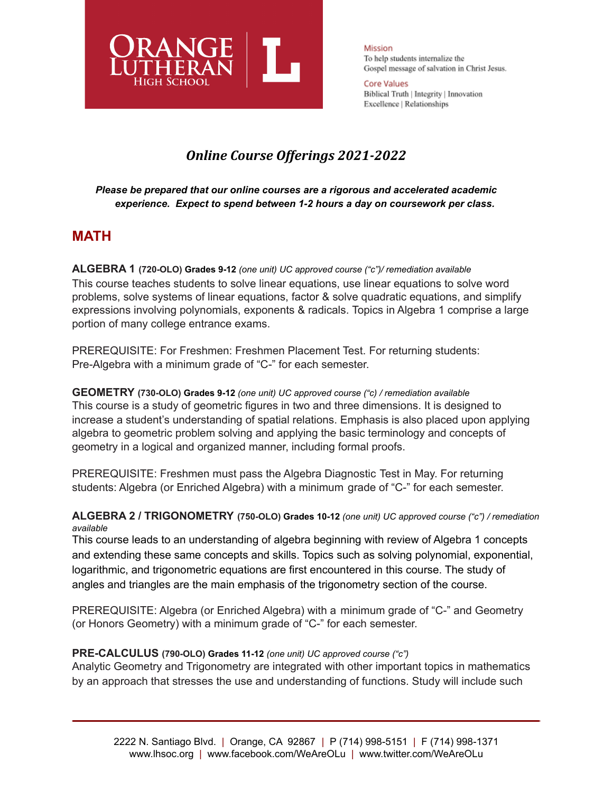

Mission To help students internalize the Gospel message of salvation in Christ Jesus.

**Core Values** Biblical Truth | Integrity | Innovation Excellence | Relationships

# *Online Course Offerings 2021-2022*

## *Please be prepared that our online courses are a rigorous and accelerated academic experience. Expect to spend between 1-2 hours a day on coursework per class.*

# **MATH**

**ALGEBRA 1 (720-OLO) Grades 9-12** *(one unit) UC approved course ("c")/ remediation available* This course teaches students to solve linear equations, use linear equations to solve word problems, solve systems of linear equations, factor & solve quadratic equations, and simplify expressions involving polynomials, exponents & radicals. Topics in Algebra 1 comprise a large portion of many college entrance exams.

PREREQUISITE: For Freshmen: Freshmen Placement Test. For returning students: Pre-Algebra with a minimum grade of "C-" for each semester.

**GEOMETRY (730-OLO) Grades 9-12** *(one unit) UC approved course ("c) / remediation available* This course is a study of geometric figures in two and three dimensions. It is designed to increase a student's understanding of spatial relations. Emphasis is also placed upon applying algebra to geometric problem solving and applying the basic terminology and concepts of geometry in a logical and organized manner, including formal proofs.

PREREQUISITE: Freshmen must pass the Algebra Diagnostic Test in May. For returning students: Algebra (or Enriched Algebra) with a minimum grade of "C-" for each semester.

## **ALGEBRA 2 / TRIGONOMETRY (750-OLO) Grades 10-12** *(one unit) UC approved course ("c") / remediation available*

This course leads to an understanding of algebra beginning with review of Algebra 1 concepts and extending these same concepts and skills. Topics such as solving polynomial, exponential, logarithmic, and trigonometric equations are first encountered in this course. The study of angles and triangles are the main emphasis of the trigonometry section of the course.

PREREQUISITE: Algebra (or Enriched Algebra) with a minimum grade of "C-" and Geometry (or Honors Geometry) with a minimum grade of "C-" for each semester.

## **PRE-CALCULUS (790-OLO) Grades 11-12** *(one unit) UC approved course ("c")*

Analytic Geometry and Trigonometry are integrated with other important topics in mathematics by an approach that stresses the use and understanding of functions. Study will include such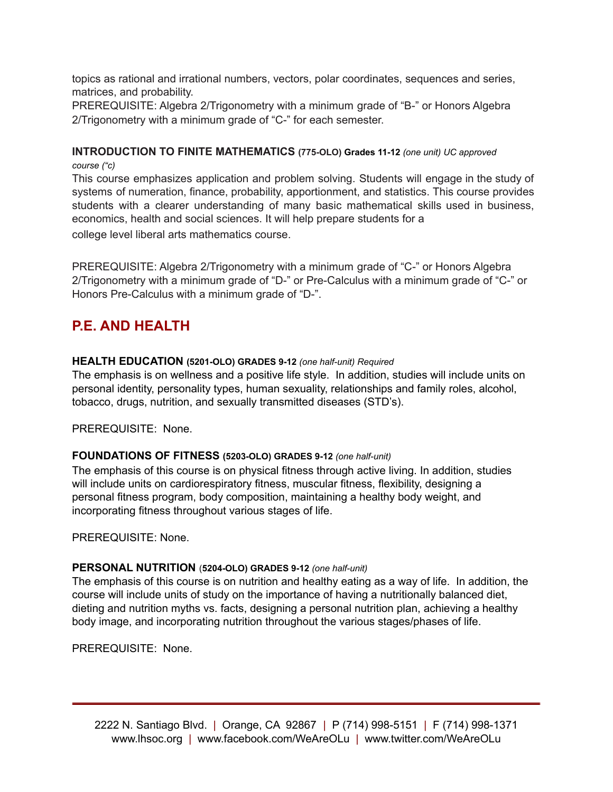topics as rational and irrational numbers, vectors, polar coordinates, sequences and series, matrices, and probability.

PREREQUISITE: Algebra 2/Trigonometry with a minimum grade of "B-" or Honors Algebra 2/Trigonometry with a minimum grade of "C-" for each semester.

# **INTRODUCTION TO FINITE MATHEMATICS (775-OLO) Grades 11-12** *(one unit) UC approved*

*course ("c)* This course emphasizes application and problem solving. Students will engage in the study of systems of numeration, finance, probability, apportionment, and statistics. This course provides students with a clearer understanding of many basic mathematical skills used in business, economics, health and social sciences. It will help prepare students for a college level liberal arts mathematics course.

PREREQUISITE: Algebra 2/Trigonometry with a minimum grade of "C-" or Honors Algebra 2/Trigonometry with a minimum grade of "D-" or Pre-Calculus with a minimum grade of "C-" or Honors Pre-Calculus with a minimum grade of "D-".

# **P.E. AND HEALTH**

## **HEALTH EDUCATION (5201-OLO) GRADES 9-12** *(one half-unit) Required*

The emphasis is on wellness and a positive life style. In addition, studies will include units on personal identity, personality types, human sexuality, relationships and family roles, alcohol, tobacco, drugs, nutrition, and sexually transmitted diseases (STD's).

PREREQUISITE: None.

## **FOUNDATIONS OF FITNESS (5203-OLO) GRADES 9-12** *(one half-unit)*

The emphasis of this course is on physical fitness through active living. In addition, studies will include units on cardiorespiratory fitness, muscular fitness, flexibility, designing a personal fitness program, body composition, maintaining a healthy body weight, and incorporating fitness throughout various stages of life.

PREREQUISITE: None.

## **PERSONAL NUTRITION** (**5204-OLO) GRADES 9-12** *(one half-unit)*

The emphasis of this course is on nutrition and healthy eating as a way of life. In addition, the course will include units of study on the importance of having a nutritionally balanced diet, dieting and nutrition myths vs. facts, designing a personal nutrition plan, achieving a healthy body image, and incorporating nutrition throughout the various stages/phases of life.

PREREQUISITE: None.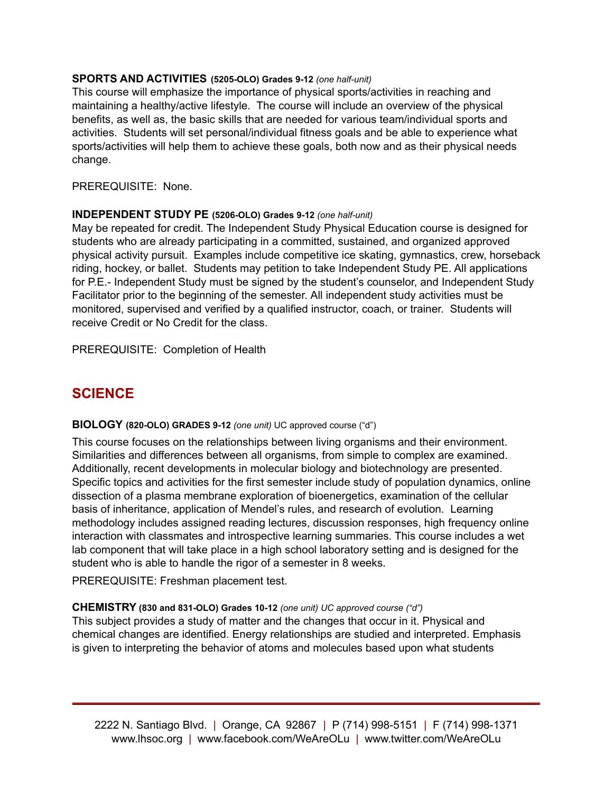## **SPORTS AND ACTIVITIES (5205-OLO) Grades 9-12** *(one half-unit)*

This course will emphasize the importance of physical sports/activities in reaching and maintaining a healthy/active lifestyle. The course will include an overview of the physical benefits, as well as, the basic skills that are needed for various team/individual sports and activities. Students will set personal/individual fitness goals and be able to experience what sports/activities will help them to achieve these goals, both now and as their physical needs change.

PREREQUISITE: None.

#### **INDEPENDENT STUDY PE (5206-OLO) Grades 9-12** *(one half-unit)*

May be repeated for credit. The Independent Study Physical Education course is designed for students who are already participating in a committed, sustained, and organized approved physical activity pursuit. Examples include competitive ice skating, gymnastics, crew, horseback riding, hockey, or ballet. Students may petition to take Independent Study PE. All applications for P.E.- Independent Study must be signed by the student's counselor, and Independent Study Facilitator prior to the beginning of the semester. All independent study activities must be monitored, supervised and verified by a qualified instructor, coach, or trainer. Students will receive Credit or No Credit for the class.

PREREQUISITE: Completion of Health

## **SCIENCE**

#### **BIOLOGY (820-OLO) GRADES 9-12** *(one unit)* UC approved course ("d")

This course focuses on the relationships between living organisms and their environment. Similarities and differences between all organisms, from simple to complex are examined. Additionally, recent developments in molecular biology and biotechnology are presented. Specific topics and activities for the first semester include study of population dynamics, online dissection of a plasma membrane exploration of bioenergetics, examination of the cellular basis of inheritance, application of Mendel's rules, and research of evolution. Learning methodology includes assigned reading lectures, discussion responses, high frequency online interaction with classmates and introspective learning summaries. This course includes a wet lab component that will take place in a high school laboratory setting and is designed for the student who is able to handle the rigor of a semester in 8 weeks.

PREREQUISITE: Freshman placement test.

#### **CHEMISTRY (830 and 831-OLO) Grades 10-12** *(one unit) UC approved course ("d")*

This subject provides a study of matter and the changes that occur in it. Physical and chemical changes are identified. Energy relationships are studied and interpreted. Emphasis is given to interpreting the behavior of atoms and molecules based upon what students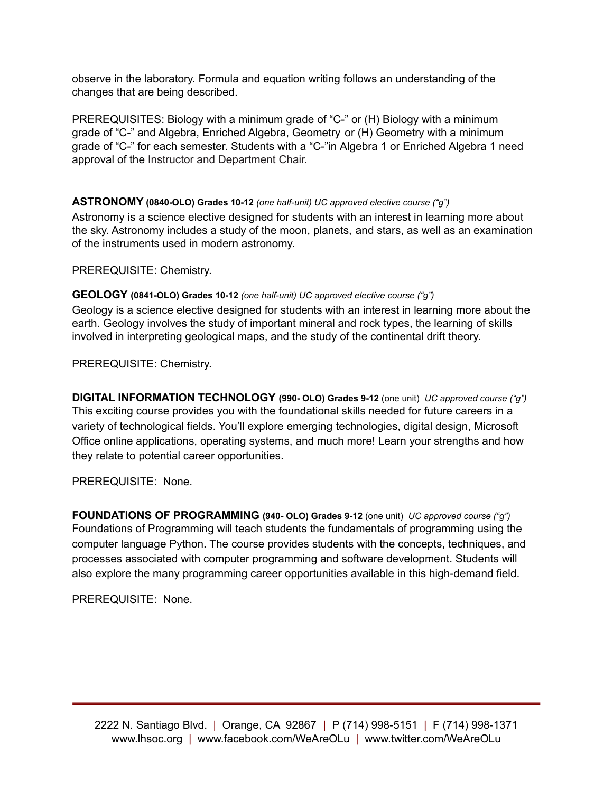observe in the laboratory. Formula and equation writing follows an understanding of the changes that are being described.

PREREQUISITES: Biology with a minimum grade of "C-" or (H) Biology with a minimum grade of "C-" and Algebra, Enriched Algebra, Geometry or (H) Geometry with a minimum grade of "C-" for each semester. Students with a "C-"in Algebra 1 or Enriched Algebra 1 need approval of the Instructor and Department Chair.

### **ASTRONOMY (0840-OLO) Grades 10-12** *(one half-unit) UC approved elective course ("g")*

Astronomy is a science elective designed for students with an interest in learning more about the sky. Astronomy includes a study of the moon, planets, and stars, as well as an examination of the instruments used in modern astronomy.

PREREQUISITE: Chemistry.

**GEOLOGY (0841-OLO) Grades 10-12** *(one half-unit) UC approved elective course ("g")*

Geology is a science elective designed for students with an interest in learning more about the earth. Geology involves the study of important mineral and rock types, the learning of skills involved in interpreting geological maps, and the study of the continental drift theory.

PREREQUISITE: Chemistry.

**DIGITAL INFORMATION TECHNOLOGY (990- OLO) Grades 9-12** (one unit) *UC approved course ("g")* This exciting course provides you with the foundational skills needed for future careers in a variety of technological fields. You'll explore emerging technologies, digital design, Microsoft Office online applications, operating systems, and much more! Learn your strengths and how they relate to potential career opportunities.

PREREQUISITE: None.

**FOUNDATIONS OF PROGRAMMING (940- OLO) Grades 9-12** (one unit) *UC approved course ("g")* Foundations of Programming will teach students the fundamentals of programming using the computer language Python. The course provides students with the concepts, techniques, and processes associated with computer programming and software development. Students will also explore the many programming career opportunities available in this high-demand field.

PREREQUISITE: None.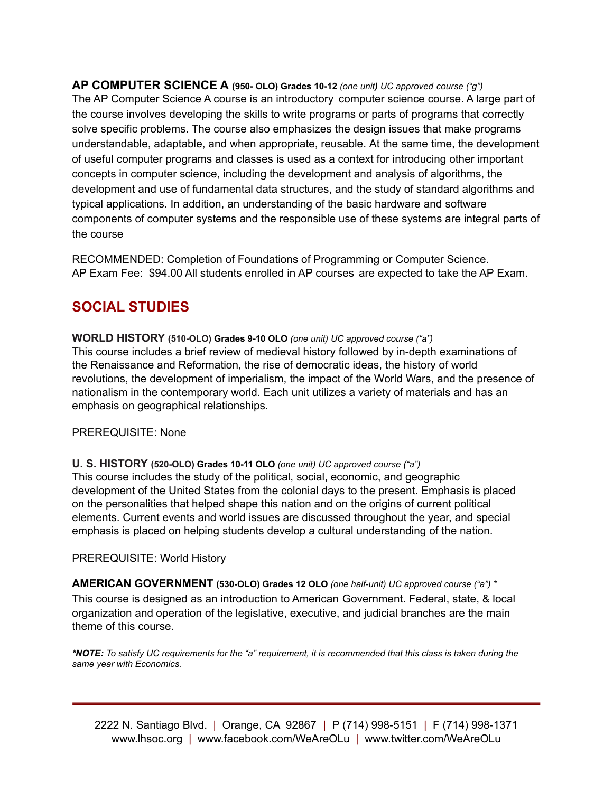**AP COMPUTER SCIENCE A (950- OLO) Grades 10-12** *(one unit) UC approved course ("g")* The AP Computer Science A course is an introductory computer science course. A large part of the course involves developing the skills to write programs or parts of programs that correctly solve specific problems. The course also emphasizes the design issues that make programs understandable, adaptable, and when appropriate, reusable. At the same time, the development of useful computer programs and classes is used as a context for introducing other important concepts in computer science, including the development and analysis of algorithms, the development and use of fundamental data structures, and the study of standard algorithms and typical applications. In addition, an understanding of the basic hardware and software components of computer systems and the responsible use of these systems are integral parts of the course

RECOMMENDED: Completion of Foundations of Programming or Computer Science. AP Exam Fee: \$94.00 All students enrolled in AP courses are expected to take the AP Exam.

# **SOCIAL STUDIES**

**WORLD HISTORY (510-OLO) Grades 9-10 OLO** *(one unit) UC approved course ("a")* This course includes a brief review of medieval history followed by in-depth examinations of the Renaissance and Reformation, the rise of democratic ideas, the history of world revolutions, the development of imperialism, the impact of the World Wars, and the presence of nationalism in the contemporary world. Each unit utilizes a variety of materials and has an emphasis on geographical relationships.

## PREREQUISITE: None

**U. S. HISTORY (520-OLO) Grades 10-11 OLO** *(one unit) UC approved course ("a")*

This course includes the study of the political, social, economic, and geographic development of the United States from the colonial days to the present. Emphasis is placed on the personalities that helped shape this nation and on the origins of current political elements. Current events and world issues are discussed throughout the year, and special emphasis is placed on helping students develop a cultural understanding of the nation.

## PREREQUISITE: World History

**AMERICAN GOVERNMENT (530-OLO) Grades 12 OLO** *(one half-unit) UC approved course ("a") \** This course is designed as an introduction to American Government. Federal, state, & local organization and operation of the legislative, executive, and judicial branches are the main theme of this course.

*\*NOTE: To satisfy UC requirements for the "a" requirement, it is recommended that this class is taken during the same year with Economics.*

2222 N. Santiago Blvd. | Orange, CA 92867 | P (714) 998-5151 | F (714) 998-1371 www.lhsoc.org | www.facebook.com/WeAreOLu | www.twitter.com/WeAreOLu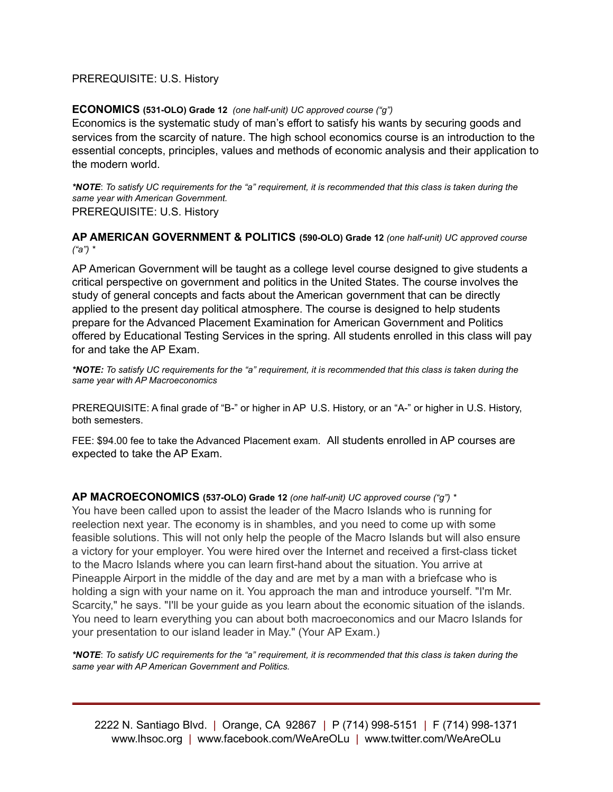#### PREREQUISITE: U.S. History

#### **ECONOMICS (531-OLO) Grade 12** *(one half-unit) UC approved course ("g")*

Economics is the systematic study of man's effort to satisfy his wants by securing goods and services from the scarcity of nature. The high school economics course is an introduction to the essential concepts, principles, values and methods of economic analysis and their application to the modern world.

*\*NOTE*: *To satisfy UC requirements for the "a" requirement, it is recommended that this class is taken during the same year with American Government.* PREREQUISITE: U.S. History

**AP AMERICAN GOVERNMENT & POLITICS (590-OLO) Grade 12** *(one half-unit) UC approved course ("a") \**

AP American Government will be taught as a college level course designed to give students a critical perspective on government and politics in the United States. The course involves the study of general concepts and facts about the American government that can be directly applied to the present day political atmosphere. The course is designed to help students prepare for the Advanced Placement Examination for American Government and Politics offered by Educational Testing Services in the spring. All students enrolled in this class will pay for and take the AP Exam.

*\*NOTE: To satisfy UC requirements for the "a" requirement, it is recommended that this class is taken during the same year with AP Macroeconomics*

PREREQUISITE: A final grade of "B-" or higher in AP U.S. History, or an "A-" or higher in U.S. History, both semesters.

FEE: \$94.00 fee to take the Advanced Placement exam. All students enrolled in AP courses are expected to take the AP Exam.

**AP MACROECONOMICS (537-OLO) Grade 12** *(one half-unit) UC approved course ("g") \**

You have been called upon to assist the leader of the Macro Islands who is running for reelection next year. The economy is in shambles, and you need to come up with some feasible solutions. This will not only help the people of the Macro Islands but will also ensure a victory for your employer. You were hired over the Internet and received a first-class ticket to the Macro Islands where you can learn first-hand about the situation. You arrive at Pineapple Airport in the middle of the day and are met by a man with a briefcase who is holding a sign with your name on it. You approach the man and introduce yourself. "I'm Mr. Scarcity," he says. "I'll be your guide as you learn about the economic situation of the islands. You need to learn everything you can about both macroeconomics and our Macro Islands for your presentation to our island leader in May." (Your AP Exam.)

*\*NOTE*: *To satisfy UC requirements for the "a" requirement, it is recommended that this class is taken during the same year with AP American Government and Politics.*

2222 N. Santiago Blvd. | Orange, CA 92867 | P (714) 998-5151 | F (714) 998-1371 www.lhsoc.org | www.facebook.com/WeAreOLu | www.twitter.com/WeAreOLu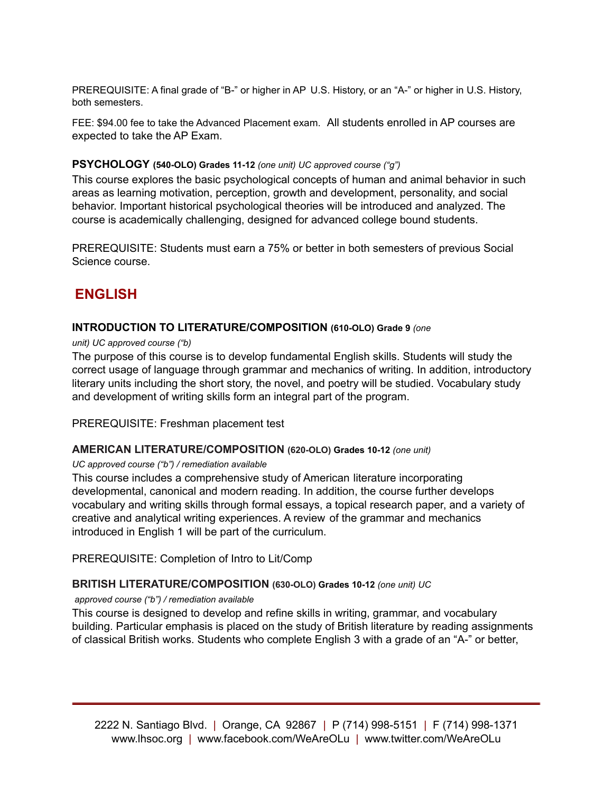PREREQUISITE: A final grade of "B-" or higher in AP U.S. History, or an "A-" or higher in U.S. History, both semesters.

FEE: \$94.00 fee to take the Advanced Placement exam. All students enrolled in AP courses are expected to take the AP Exam.

### **PSYCHOLOGY (540-OLO) Grades 11-12** *(one unit) UC approved course ("g")*

This course explores the basic psychological concepts of human and animal behavior in such areas as learning motivation, perception, growth and development, personality, and social behavior. Important historical psychological theories will be introduced and analyzed. The course is academically challenging, designed for advanced college bound students.

PREREQUISITE: Students must earn a 75% or better in both semesters of previous Social Science course.

## **ENGLISH**

#### **INTRODUCTION TO LITERATURE/COMPOSITION (610-OLO) Grade 9** *(one*

#### *unit) UC approved course ("b)*

The purpose of this course is to develop fundamental English skills. Students will study the correct usage of language through grammar and mechanics of writing. In addition, introductory literary units including the short story, the novel, and poetry will be studied. Vocabulary study and development of writing skills form an integral part of the program.

PREREQUISITE: Freshman placement test

## **AMERICAN LITERATURE/COMPOSITION (620-OLO) Grades 10-12** *(one unit)*

#### *UC approved course ("b") / remediation available*

This course includes a comprehensive study of American literature incorporating developmental, canonical and modern reading. In addition, the course further develops vocabulary and writing skills through formal essays, a topical research paper, and a variety of creative and analytical writing experiences. A review of the grammar and mechanics introduced in English 1 will be part of the curriculum.

PREREQUISITE: Completion of Intro to Lit/Comp

## **BRITISH LITERATURE/COMPOSITION (630-OLO) Grades 10-12** *(one unit) UC*

#### *approved course ("b") / remediation available*

This course is designed to develop and refine skills in writing, grammar, and vocabulary building. Particular emphasis is placed on the study of British literature by reading assignments of classical British works. Students who complete English 3 with a grade of an "A-" or better,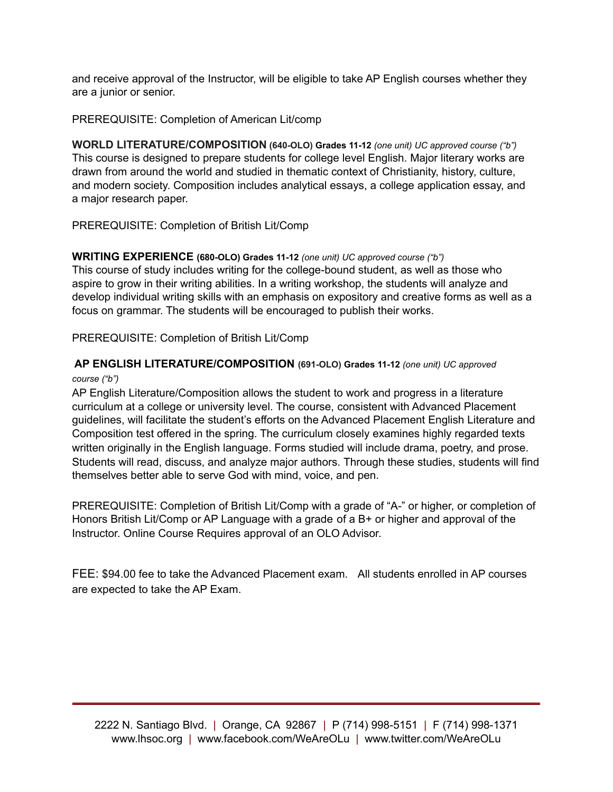and receive approval of the Instructor, will be eligible to take AP English courses whether they are a junior or senior.

## PREREQUISITE: Completion of American Lit/comp

**WORLD LITERATURE/COMPOSITION (640-OLO) Grades 11-12** *(one unit) UC approved course ("b")* This course is designed to prepare students for college level English. Major literary works are drawn from around the world and studied in thematic context of Christianity, history, culture, and modern society. Composition includes analytical essays, a college application essay, and a major research paper.

## PREREQUISITE: Completion of British Lit/Comp

## **WRITING EXPERIENCE (680-OLO) Grades 11-12** *(one unit) UC approved course ("b")*

This course of study includes writing for the college-bound student, as well as those who aspire to grow in their writing abilities. In a writing workshop, the students will analyze and develop individual writing skills with an emphasis on expository and creative forms as well as a focus on grammar. The students will be encouraged to publish their works.

## PREREQUISITE: Completion of British Lit/Comp

## **AP ENGLISH LITERATURE/COMPOSITION (691-OLO) Grades 11-12** *(one unit) UC approved*

#### *course ("b")*

AP English Literature/Composition allows the student to work and progress in a literature curriculum at a college or university level. The course, consistent with Advanced Placement guidelines, will facilitate the student's efforts on the Advanced Placement English Literature and Composition test offered in the spring. The curriculum closely examines highly regarded texts written originally in the English language. Forms studied will include drama, poetry, and prose. Students will read, discuss, and analyze major authors. Through these studies, students will find themselves better able to serve God with mind, voice, and pen.

PREREQUISITE: Completion of British Lit/Comp with a grade of "A-" or higher, or completion of Honors British Lit/Comp or AP Language with a grade of a B+ or higher and approval of the Instructor. Online Course Requires approval of an OLO Advisor.

FEE: \$94.00 fee to take the Advanced Placement exam. All students enrolled in AP courses are expected to take the AP Exam.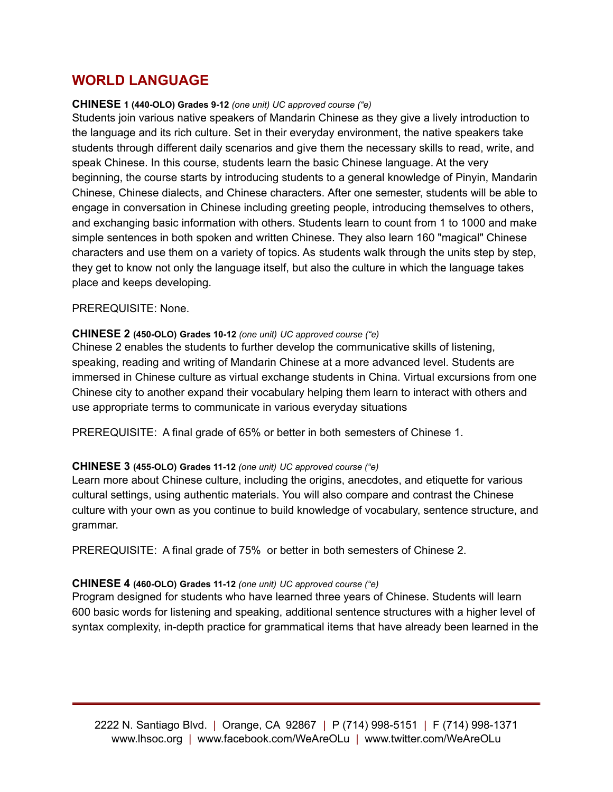# **WORLD LANGUAGE**

### **CHINESE 1 (440-OLO) Grades 9-12** *(one unit) UC approved course ("e)*

Students join various native speakers of Mandarin Chinese as they give a lively introduction to the language and its rich culture. Set in their everyday environment, the native speakers take students through different daily scenarios and give them the necessary skills to read, write, and speak Chinese. In this course, students learn the basic Chinese language. At the very beginning, the course starts by introducing students to a general knowledge of Pinyin, Mandarin Chinese, Chinese dialects, and Chinese characters. After one semester, students will be able to engage in conversation in Chinese including greeting people, introducing themselves to others, and exchanging basic information with others. Students learn to count from 1 to 1000 and make simple sentences in both spoken and written Chinese. They also learn 160 "magical" Chinese characters and use them on a variety of topics. As students walk through the units step by step, they get to know not only the language itself, but also the culture in which the language takes place and keeps developing.

## PREREQUISITE: None.

## **CHINESE 2 (450-OLO) Grades 10-12** *(one unit) UC approved course ("e)*

Chinese 2 enables the students to further develop the communicative skills of listening, speaking, reading and writing of Mandarin Chinese at a more advanced level. Students are immersed in Chinese culture as virtual exchange students in China. Virtual excursions from one Chinese city to another expand their vocabulary helping them learn to interact with others and use appropriate terms to communicate in various everyday situations

PREREQUISITE: A final grade of 65% or better in both semesters of Chinese 1.

## **CHINESE 3 (455-OLO) Grades 11-12** *(one unit) UC approved course ("e)*

Learn more about Chinese culture, including the origins, anecdotes, and etiquette for various cultural settings, using authentic materials. You will also compare and contrast the Chinese culture with your own as you continue to build knowledge of vocabulary, sentence structure, and grammar.

PREREQUISITE: A final grade of 75% or better in both semesters of Chinese 2.

## **CHINESE 4 (460-OLO) Grades 11-12** *(one unit) UC approved course ("e)*

Program designed for students who have learned three years of Chinese. Students will learn 600 basic words for listening and speaking, additional sentence structures with a higher level of syntax complexity, in-depth practice for grammatical items that have already been learned in the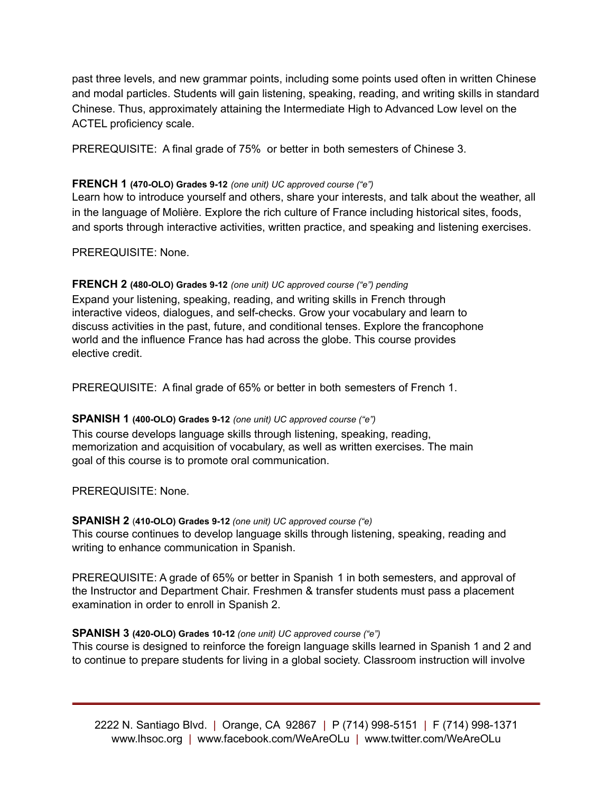past three levels, and new grammar points, including some points used often in written Chinese and modal particles. Students will gain listening, speaking, reading, and writing skills in standard Chinese. Thus, approximately attaining the Intermediate High to Advanced Low level on the ACTEL proficiency scale.

PREREQUISITE: A final grade of 75% or better in both semesters of Chinese 3.

## **FRENCH 1 (470-OLO) Grades 9-12** *(one unit) UC approved course ("e")*

Learn how to introduce yourself and others, share your interests, and talk about the weather, all in the language of Molière. Explore the rich culture of France including historical sites, foods, and sports through interactive activities, written practice, and speaking and listening exercises.

PREREQUISITE: None.

## **FRENCH 2 (480-OLO) Grades 9-12** *(one unit) UC approved course ("e") pending*

Expand your listening, speaking, reading, and writing skills in French through interactive videos, dialogues, and self-checks. Grow your vocabulary and learn to discuss activities in the past, future, and conditional tenses. Explore the francophone world and the influence France has had across the globe. This course provides elective credit.

PREREQUISITE: A final grade of 65% or better in both semesters of French 1.

## **SPANISH 1 (400-OLO) Grades 9-12** *(one unit) UC approved course ("e")*

This course develops language skills through listening, speaking, reading, memorization and acquisition of vocabulary, as well as written exercises. The main goal of this course is to promote oral communication.

PREREQUISITE: None.

## **SPANISH 2** (**410-OLO) Grades 9-12** *(one unit) UC approved course ("e)*

This course continues to develop language skills through listening, speaking, reading and writing to enhance communication in Spanish.

PREREQUISITE: A grade of 65% or better in Spanish 1 in both semesters, and approval of the Instructor and Department Chair. Freshmen & transfer students must pass a placement examination in order to enroll in Spanish 2.

## **SPANISH 3 (420-OLO) Grades 10-12** *(one unit) UC approved course ("e")*

This course is designed to reinforce the foreign language skills learned in Spanish 1 and 2 and to continue to prepare students for living in a global society. Classroom instruction will involve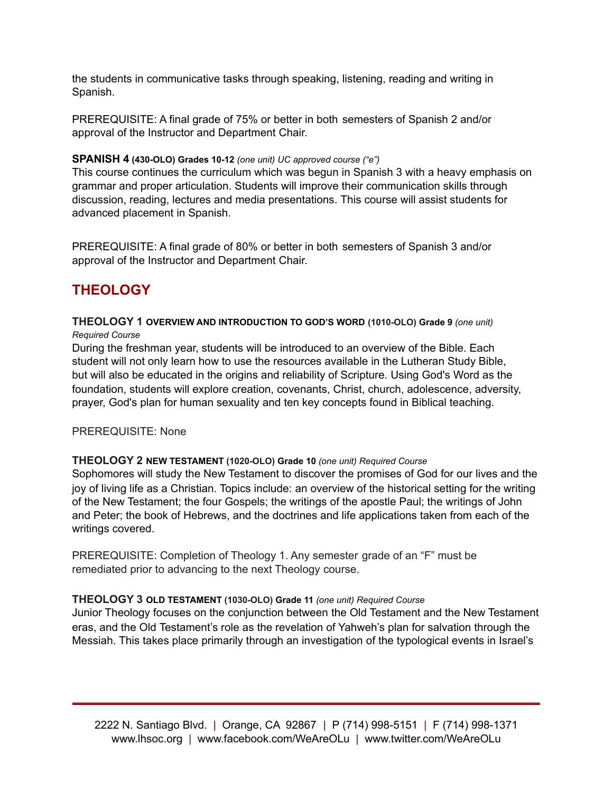the students in communicative tasks through speaking, listening, reading and writing in Spanish.

PREREQUISITE: A final grade of 75% or better in both semesters of Spanish 2 and/or approval of the Instructor and Department Chair.

## **SPANISH 4 (430-OLO) Grades 10-12** *(one unit) UC approved course ("e")*

This course continues the curriculum which was begun in Spanish 3 with a heavy emphasis on grammar and proper articulation. Students will improve their communication skills through discussion, reading, lectures and media presentations. This course will assist students for advanced placement in Spanish.

PREREQUISITE: A final grade of 80% or better in both semesters of Spanish 3 and/or approval of the Instructor and Department Chair.

# **THEOLOGY**

### **THEOLOGY 1 OVERVIEW AND INTRODUCTION TO GOD'S WORD (1010-OLO) Grade 9** *(one unit) Required Course*

During the freshman year, students will be introduced to an overview of the Bible. Each student will not only learn how to use the resources available in the Lutheran Study Bible, but will also be educated in the origins and reliability of Scripture. Using God's Word as the foundation, students will explore creation, covenants, Christ, church, adolescence, adversity, prayer, God's plan for human sexuality and ten key concepts found in Biblical teaching.

## PREREQUISITE: None

## **THEOLOGY 2 NEW TESTAMENT (1020-OLO) Grade 10** *(one unit) Required Course*

Sophomores will study the New Testament to discover the promises of God for our lives and the joy of living life as a Christian. Topics include: an overview of the historical setting for the writing of the New Testament; the four Gospels; the writings of the apostle Paul; the writings of John and Peter; the book of Hebrews, and the doctrines and life applications taken from each of the writings covered.

PREREQUISITE: Completion of Theology 1. Any semester grade of an "F" must be remediated prior to advancing to the next Theology course.

## **THEOLOGY 3 OLD TESTAMENT (1030-OLO) Grade 11** *(one unit) Required Course*

Junior Theology focuses on the conjunction between the Old Testament and the New Testament eras, and the Old Testament's role as the revelation of Yahweh's plan for salvation through the Messiah. This takes place primarily through an investigation of the typological events in Israel's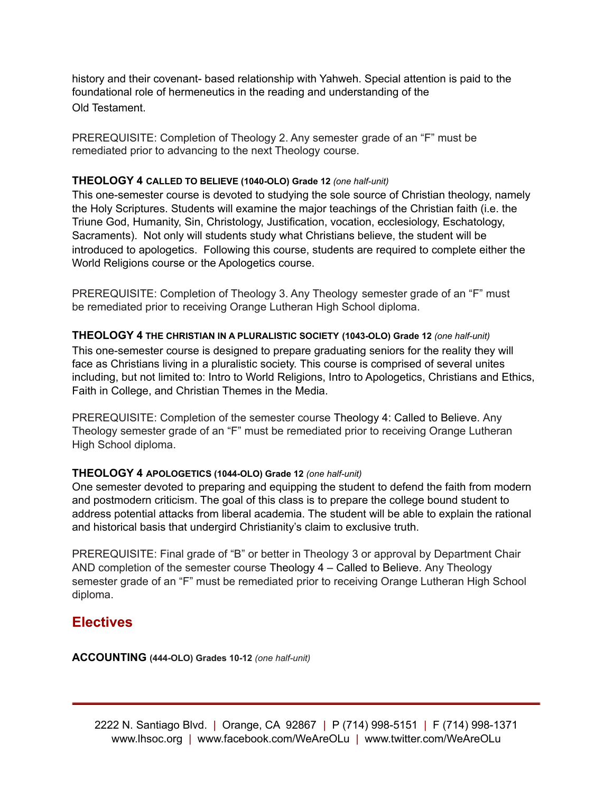history and their covenant- based relationship with Yahweh. Special attention is paid to the foundational role of hermeneutics in the reading and understanding of the Old Testament.

PREREQUISITE: Completion of Theology 2. Any semester grade of an "F" must be remediated prior to advancing to the next Theology course.

## **THEOLOGY 4 CALLED TO BELIEVE (1040-OLO) Grade 12** *(one half-unit)*

This one-semester course is devoted to studying the sole source of Christian theology, namely the Holy Scriptures. Students will examine the major teachings of the Christian faith (i.e. the Triune God, Humanity, Sin, Christology, Justification, vocation, ecclesiology, Eschatology, Sacraments). Not only will students study what Christians believe, the student will be introduced to apologetics. Following this course, students are required to complete either the World Religions course or the Apologetics course.

PREREQUISITE: Completion of Theology 3. Any Theology semester grade of an "F" must be remediated prior to receiving Orange Lutheran High School diploma.

## **THEOLOGY 4 THE CHRISTIAN IN A PLURALISTIC SOCIETY (1043-OLO) Grade 12** *(one half-unit)*

This one-semester course is designed to prepare graduating seniors for the reality they will face as Christians living in a pluralistic society. This course is comprised of several unites including, but not limited to: Intro to World Religions, Intro to Apologetics, Christians and Ethics, Faith in College, and Christian Themes in the Media.

PREREQUISITE: Completion of the semester course Theology 4: Called to Believe. Any Theology semester grade of an "F" must be remediated prior to receiving Orange Lutheran High School diploma.

## **THEOLOGY 4 APOLOGETICS (1044-OLO) Grade 12** *(one half-unit)*

One semester devoted to preparing and equipping the student to defend the faith from modern and postmodern criticism. The goal of this class is to prepare the college bound student to address potential attacks from liberal academia. The student will be able to explain the rational and historical basis that undergird Christianity's claim to exclusive truth.

PREREQUISITE: Final grade of "B" or better in Theology 3 or approval by Department Chair AND completion of the semester course Theology 4 – Called to Believe. Any Theology semester grade of an "F" must be remediated prior to receiving Orange Lutheran High School diploma.

## **Electives**

**ACCOUNTING (444-OLO) Grades 10-12** *(one half-unit)*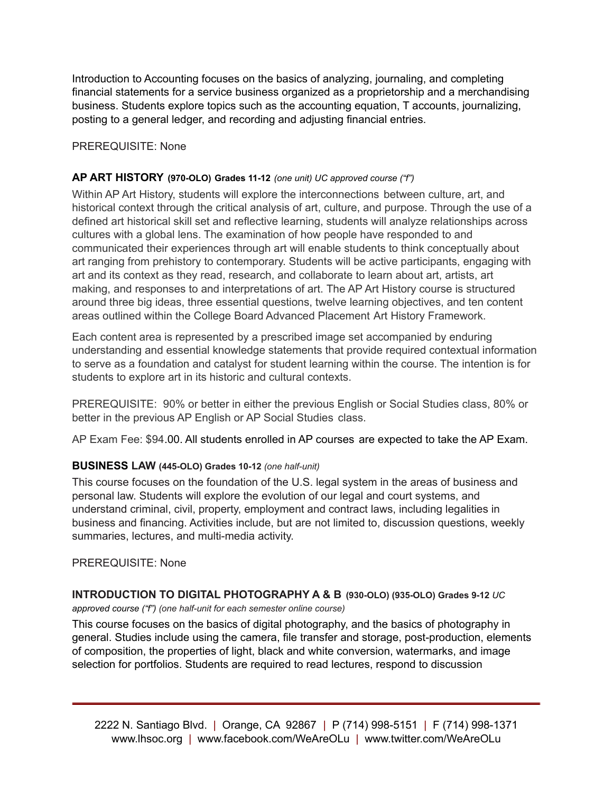Introduction to Accounting focuses on the basics of analyzing, journaling, and completing financial statements for a service business organized as a proprietorship and a merchandising business. Students explore topics such as the accounting equation, T accounts, journalizing, posting to a general ledger, and recording and adjusting financial entries.

PREREQUISITE: None

## **AP ART HISTORY (970-OLO) Grades 11-12** *(one unit) UC approved course ("f")*

Within AP Art History, students will explore the interconnections between culture, art, and historical context through the critical analysis of art, culture, and purpose. Through the use of a defined art historical skill set and reflective learning, students will analyze relationships across cultures with a global lens. The examination of how people have responded to and communicated their experiences through art will enable students to think conceptually about art ranging from prehistory to contemporary. Students will be active participants, engaging with art and its context as they read, research, and collaborate to learn about art, artists, art making, and responses to and interpretations of art. The AP Art History course is structured around three big ideas, three essential questions, twelve learning objectives, and ten content areas outlined within the College Board Advanced Placement Art History Framework.

Each content area is represented by a prescribed image set accompanied by enduring understanding and essential knowledge statements that provide required contextual information to serve as a foundation and catalyst for student learning within the course. The intention is for students to explore art in its historic and cultural contexts.

PREREQUISITE: 90% or better in either the previous English or Social Studies class, 80% or better in the previous AP English or AP Social Studies class.

AP Exam Fee: \$94.00. All students enrolled in AP courses are expected to take the AP Exam.

## **BUSINESS LAW (445-OLO) Grades 10-12** *(one half-unit)*

This course focuses on the foundation of the U.S. legal system in the areas of business and personal law. Students will explore the evolution of our legal and court systems, and understand criminal, civil, property, employment and contract laws, including legalities in business and financing. Activities include, but are not limited to, discussion questions, weekly summaries, lectures, and multi-media activity.

## PREREQUISITE: None

## **INTRODUCTION TO DIGITAL PHOTOGRAPHY A & B (930-OLO) (935-OLO) Grades 9-12** *UC*

*approved course ("f") (one half-unit for each semester online course)*

This course focuses on the basics of digital photography, and the basics of photography in general. Studies include using the camera, file transfer and storage, post-production, elements of composition, the properties of light, black and white conversion, watermarks, and image selection for portfolios. Students are required to read lectures, respond to discussion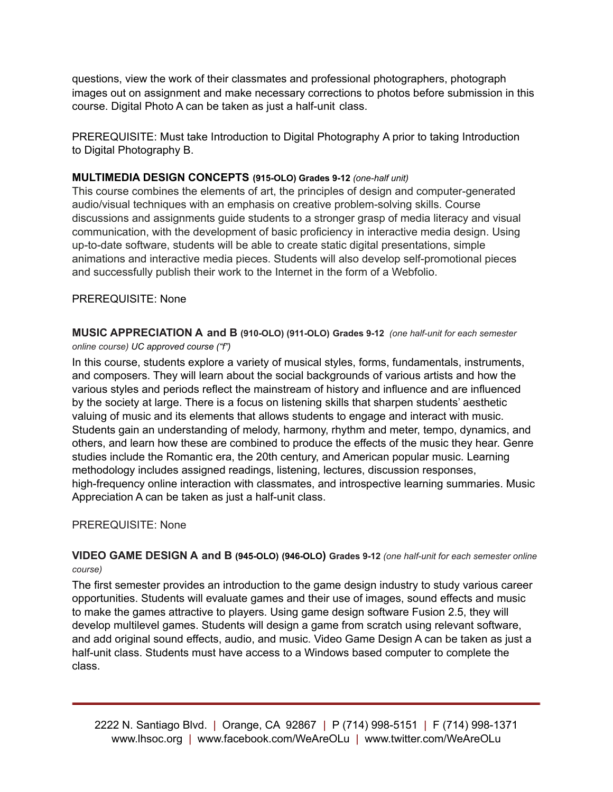questions, view the work of their classmates and professional photographers, photograph images out on assignment and make necessary corrections to photos before submission in this course. Digital Photo A can be taken as just a half-unit class.

PREREQUISITE: Must take Introduction to Digital Photography A prior to taking Introduction to Digital Photography B.

## **MULTIMEDIA DESIGN CONCEPTS (915-OLO) Grades 9-12** *(one-half unit)*

This course combines the elements of art, the principles of design and computer-generated audio/visual techniques with an emphasis on creative problem-solving skills. Course discussions and assignments guide students to a stronger grasp of media literacy and visual communication, with the development of basic proficiency in interactive media design. Using up-to-date software, students will be able to create static digital presentations, simple animations and interactive media pieces. Students will also develop self-promotional pieces and successfully publish their work to the Internet in the form of a Webfolio.

## PREREQUISITE: None

**MUSIC APPRECIATION A and B (910-OLO) (911-OLO) Grades 9-12** *(one half-unit for each semester online course) UC approved course ("f")*

In this course, students explore a variety of musical styles, forms, fundamentals, instruments, and composers. They will learn about the social backgrounds of various artists and how the various styles and periods reflect the mainstream of history and influence and are influenced by the society at large. There is a focus on listening skills that sharpen students' aesthetic valuing of music and its elements that allows students to engage and interact with music. Students gain an understanding of melody, harmony, rhythm and meter, tempo, dynamics, and others, and learn how these are combined to produce the effects of the music they hear. Genre studies include the Romantic era, the 20th century, and American popular music. Learning methodology includes assigned readings, listening, lectures, discussion responses, high-frequency online interaction with classmates, and introspective learning summaries. Music Appreciation A can be taken as just a half-unit class.

## PREREQUISITE: None

**VIDEO GAME DESIGN A and B (945-OLO) (946-OLO) Grades 9-12** *(one half-unit for each semester online course)*

The first semester provides an introduction to the game design industry to study various career opportunities. Students will evaluate games and their use of images, sound effects and music to make the games attractive to players. Using game design software Fusion 2.5, they will develop multilevel games. Students will design a game from scratch using relevant software, and add original sound effects, audio, and music. Video Game Design A can be taken as just a half-unit class. Students must have access to a Windows based computer to complete the class.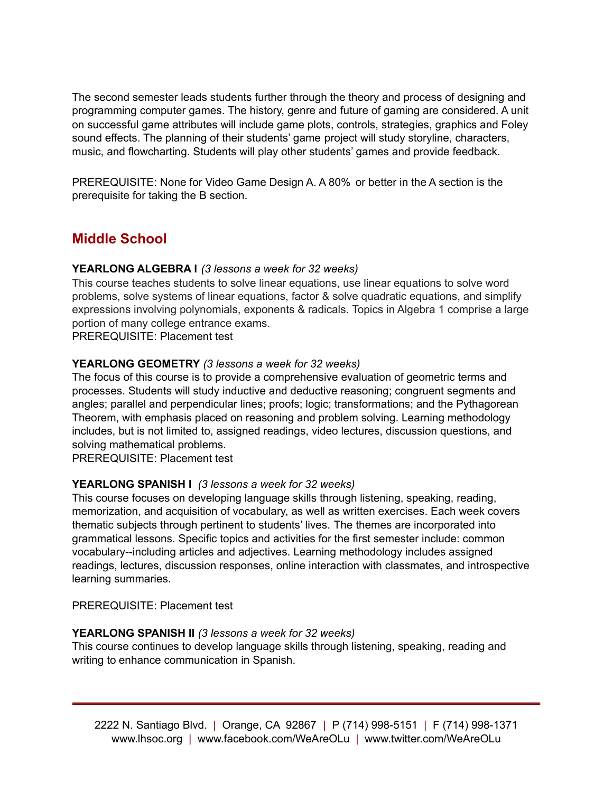The second semester leads students further through the theory and process of designing and programming computer games. The history, genre and future of gaming are considered. A unit on successful game attributes will include game plots, controls, strategies, graphics and Foley sound effects. The planning of their students' game project will study storyline, characters, music, and flowcharting. Students will play other students' games and provide feedback.

PREREQUISITE: None for Video Game Design A. A 80% or better in the A section is the prerequisite for taking the B section.

# **Middle School**

## **YEARLONG ALGEBRA l** *(3 lessons a week for 32 weeks)*

This course teaches students to solve linear equations, use linear equations to solve word problems, solve systems of linear equations, factor & solve quadratic equations, and simplify expressions involving polynomials, exponents & radicals. Topics in Algebra 1 comprise a large portion of many college entrance exams.

PREREQUISITE: Placement test

## **YEARLONG GEOMETRY** *(3 lessons a week for 32 weeks)*

The focus of this course is to provide a comprehensive evaluation of geometric terms and processes. Students will study inductive and deductive reasoning; congruent segments and angles; parallel and perpendicular lines; proofs; logic; transformations; and the Pythagorean Theorem, with emphasis placed on reasoning and problem solving. Learning methodology includes, but is not limited to, assigned readings, video lectures, discussion questions, and solving mathematical problems.

PREREQUISITE: Placement test

## **YEARLONG SPANISH l** *(3 lessons a week for 32 weeks)*

This course focuses on developing language skills through listening, speaking, reading, memorization, and acquisition of vocabulary, as well as written exercises. Each week covers thematic subjects through pertinent to students' lives. The themes are incorporated into grammatical lessons. Specific topics and activities for the first semester include: common vocabulary--including articles and adjectives. Learning methodology includes assigned readings, lectures, discussion responses, online interaction with classmates, and introspective learning summaries.

PREREQUISITE: Placement test

## **YEARLONG SPANISH ll** *(3 lessons a week for 32 weeks)*

This course continues to develop language skills through listening, speaking, reading and writing to enhance communication in Spanish.